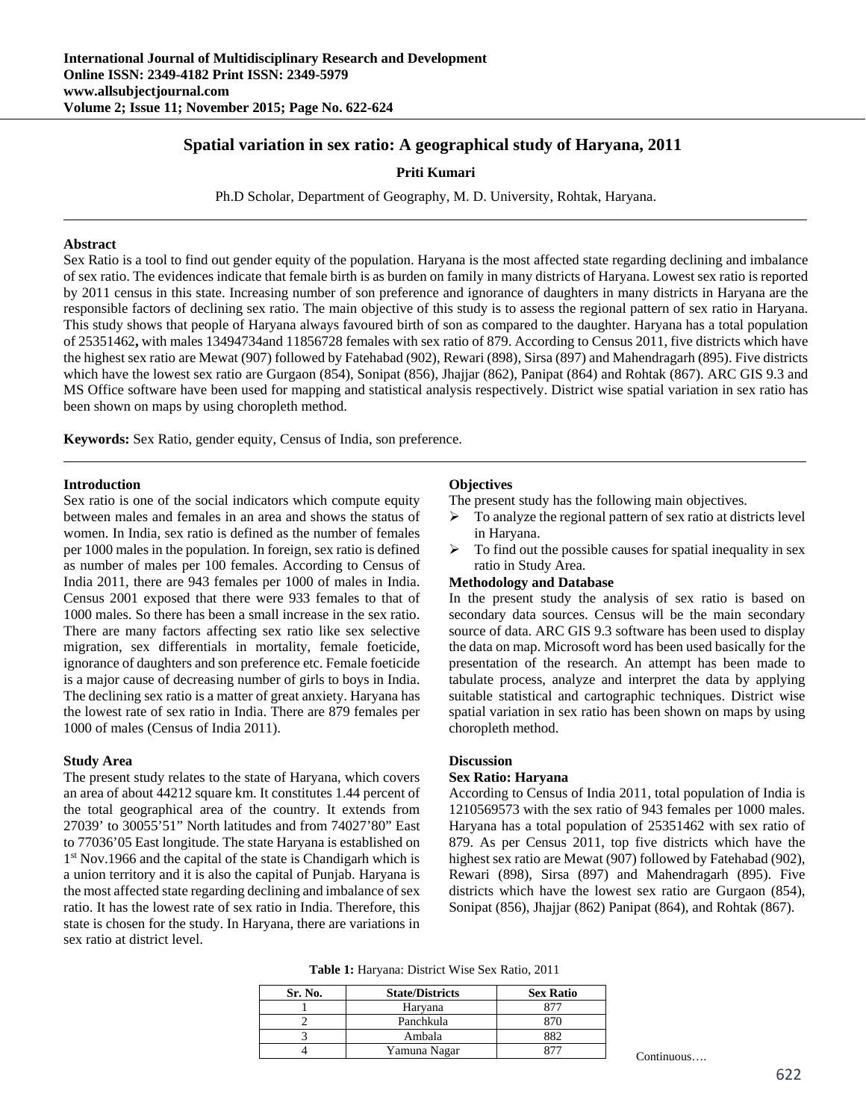# **Spatial variation in sex ratio: A geographical study of Haryana, 2011**

**Priti Kumari** 

Ph.D Scholar, Department of Geography, M. D. University, Rohtak, Haryana.

### **Abstract**

Sex Ratio is a tool to find out gender equity of the population. Haryana is the most affected state regarding declining and imbalance of sex ratio. The evidences indicate that female birth is as burden on family in many districts of Haryana. Lowest sex ratio is reported by 2011 census in this state. Increasing number of son preference and ignorance of daughters in many districts in Haryana are the responsible factors of declining sex ratio. The main objective of this study is to assess the regional pattern of sex ratio in Haryana. This study shows that people of Haryana always favoured birth of son as compared to the daughter. Haryana has a total population of 25351462**,** with males 13494734and 11856728 females with sex ratio of 879. According to Census 2011, five districts which have the highest sex ratio are Mewat (907) followed by Fatehabad (902), Rewari (898), Sirsa (897) and Mahendragarh (895). Five districts which have the lowest sex ratio are Gurgaon (854), Sonipat (856), Jhajjar (862), Panipat (864) and Rohtak (867). ARC GIS 9.3 and MS Office software have been used for mapping and statistical analysis respectively. District wise spatial variation in sex ratio has been shown on maps by using choropleth method.

**Keywords:** Sex Ratio, gender equity, Census of India, son preference.

#### **Introduction**

Sex ratio is one of the social indicators which compute equity between males and females in an area and shows the status of women. In India, sex ratio is defined as the number of females per 1000 males in the population. In foreign, sex ratio is defined as number of males per 100 females. According to Census of India 2011, there are 943 females per 1000 of males in India. Census 2001 exposed that there were 933 females to that of 1000 males. So there has been a small increase in the sex ratio. There are many factors affecting sex ratio like sex selective migration, sex differentials in mortality, female foeticide, ignorance of daughters and son preference etc. Female foeticide is a major cause of decreasing number of girls to boys in India. The declining sex ratio is a matter of great anxiety. Haryana has the lowest rate of sex ratio in India. There are 879 females per 1000 of males (Census of India 2011).

#### **Study Area**

The present study relates to the state of Haryana, which covers an area of about 44212 square km. It constitutes 1.44 percent of the total geographical area of the country. It extends from 27039' to 30055'51" North latitudes and from 74027'80" East to 77036'05 East longitude. The state Haryana is established on  $1<sup>st</sup>$  Nov.1966 and the capital of the state is Chandigarh which is a union territory and it is also the capital of Punjab. Haryana is the most affected state regarding declining and imbalance of sex ratio. It has the lowest rate of sex ratio in India. Therefore, this state is chosen for the study. In Haryana, there are variations in sex ratio at district level.

### **Objectives**

The present study has the following main objectives.

- $\triangleright$  To analyze the regional pattern of sex ratio at districts level in Haryana.
- $\triangleright$  To find out the possible causes for spatial inequality in sex ratio in Study Area.

### **Methodology and Database**

In the present study the analysis of sex ratio is based on secondary data sources. Census will be the main secondary source of data. ARC GIS 9.3 software has been used to display the data on map. Microsoft word has been used basically for the presentation of the research. An attempt has been made to tabulate process, analyze and interpret the data by applying suitable statistical and cartographic techniques. District wise spatial variation in sex ratio has been shown on maps by using choropleth method.

#### **Discussion**

### **Sex Ratio: Haryana**

According to Census of India 2011, total population of India is 1210569573 with the sex ratio of 943 females per 1000 males. Haryana has a total population of 25351462 with sex ratio of 879. As per Census 2011, top five districts which have the highest sex ratio are Mewat (907) followed by Fatehabad (902), Rewari (898), Sirsa (897) and Mahendragarh (895). Five districts which have the lowest sex ratio are Gurgaon (854), Sonipat (856), Jhajjar (862) Panipat (864), and Rohtak (867).

**Table 1:** Haryana: District Wise Sex Ratio, 2011

| Sr. No. | <b>State/Districts</b> | <b>Sex Ratio</b> |
|---------|------------------------|------------------|
|         | Haryana                |                  |
|         | Panchkula              |                  |
|         | Ambala                 |                  |
|         | Yamuna Nagar           |                  |

Continuous….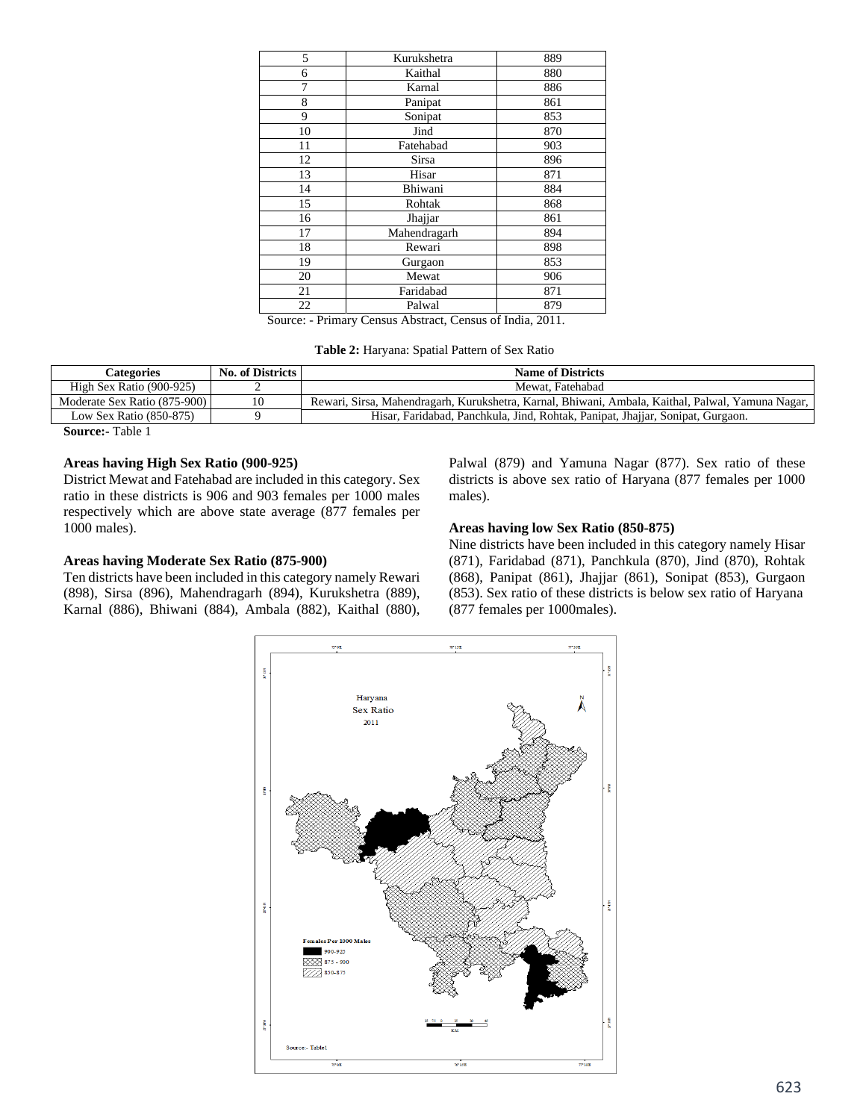| 5  | Kurukshetra  | 889 |
|----|--------------|-----|
| 6  | Kaithal      | 880 |
| 7  | Karnal       | 886 |
| 8  | Panipat      | 861 |
| 9  | Sonipat      | 853 |
| 10 | Jind         | 870 |
| 11 | Fatehabad    | 903 |
| 12 | <b>Sirsa</b> | 896 |
| 13 | Hisar        | 871 |
| 14 | Bhiwani      | 884 |
| 15 | Rohtak       | 868 |
| 16 | Jhajjar      | 861 |
| 17 | Mahendragarh | 894 |
| 18 | Rewari       | 898 |
| 19 | Gurgaon      | 853 |
| 20 | Mewat        | 906 |
| 21 | Faridabad    | 871 |
| 22 | Palwal       | 879 |

Source: - Primary Census Abstract, Census of India, 2011.

**Table 2:** Haryana: Spatial Pattern of Sex Ratio

| Categories                   | <b>No. of Districts</b> | <b>Name of Districts</b>                                                                          |
|------------------------------|-------------------------|---------------------------------------------------------------------------------------------------|
| High Sex Ratio (900-925)     |                         | Mewat. Fatehabad                                                                                  |
| Moderate Sex Ratio (875-900) | 10                      | Rewari, Sirsa, Mahendragarh, Kurukshetra, Karnal, Bhiwani, Ambala, Kaithal, Palwal, Yamuna Nagar, |
| Low Sex Ratio $(850-875)$    |                         | Hisar, Faridabad, Panchkula, Jind, Rohtak, Panipat, Jhajjar, Sonipat, Gurgaon.                    |
| $-111$                       |                         |                                                                                                   |

**Source:-** Table 1

### **Areas having High Sex Ratio (900-925)**

District Mewat and Fatehabad are included in this category. Sex ratio in these districts is 906 and 903 females per 1000 males respectively which are above state average (877 females per 1000 males).

# **Areas having Moderate Sex Ratio (875-900)**

Ten districts have been included in this category namely Rewari (898), Sirsa (896), Mahendragarh (894), Kurukshetra (889), Karnal (886), Bhiwani (884), Ambala (882), Kaithal (880), Palwal (879) and Yamuna Nagar (877). Sex ratio of these districts is above sex ratio of Haryana (877 females per 1000 males).

### **Areas having low Sex Ratio (850-875)**

Nine districts have been included in this category namely Hisar (871), Faridabad (871), Panchkula (870), Jind (870), Rohtak (868), Panipat (861), Jhajjar (861), Sonipat (853), Gurgaon (853). Sex ratio of these districts is below sex ratio of Haryana (877 females per 1000males).